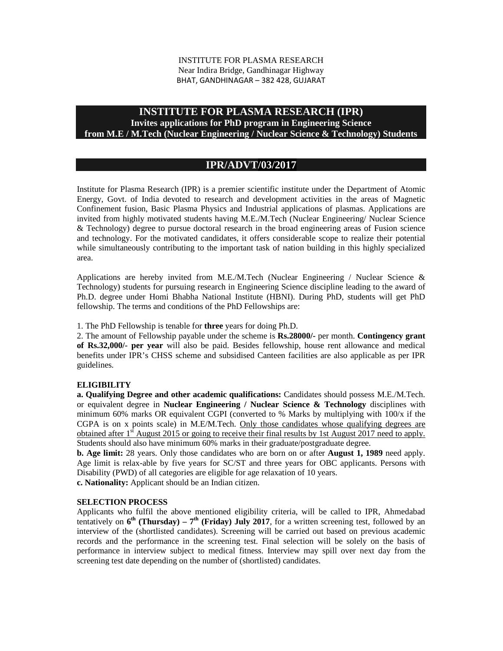#### INSTITUTE FOR PLASMA RESEARCH Near Indira Bridge, Gandhinagar Highway BHAT, GANDHINAGAR – 382 428, GUJARAT

## **INSTITUTE FOR PLASMA RESEARCH (IPR)**

### **Invites applications for PhD program in Engineering Science from M.E / M.Tech (Nuclear Engineering / Nuclear Science & Technology) Students**

# **IPR/ADVT/03/2017**

Institute for Plasma Research (IPR) is a premier scientific institute under the Department of Atomic Energy, Govt. of India devoted to research and development activities in the areas of Magnetic Confinement fusion, Basic Plasma Physics and Industrial applications of plasmas. Applications are invited from highly motivated students having M.E./M.Tech (Nuclear Engineering/ Nuclear Science & Technology) degree to pursue doctoral research in the broad engineering areas of Fusion science and technology. For the motivated candidates, it offers considerable scope to realize their potential while simultaneously contributing to the important task of nation building in this highly specialized area.

Applications are hereby invited from M.E./M.Tech (Nuclear Engineering / Nuclear Science  $\&$ Technology) students for pursuing research in Engineering Science discipline leading to the award of Ph.D. degree under Homi Bhabha National Institute (HBNI). During PhD, students will get PhD fellowship. The terms and conditions of the PhD Fellowships are:

1. The PhD Fellowship is tenable for **three** years for doing Ph.D.

2. The amount of Fellowship payable under the scheme is **Rs.28000/-** per month. **Contingency grant of Rs.32,000/- per year** will also be paid. Besides fellowship, house rent allowance and medical benefits under IPR's CHSS scheme and subsidised Canteen facilities are also applicable as per IPR guidelines.

### **ELIGIBILITY**

**a. Qualifying Degree and other academic qualifications:** Candidates should possess M.E./M.Tech. or equivalent degree in **Nuclear Engineering / Nuclear Science & Technology** disciplines with minimum 60% marks OR equivalent CGPI (converted to % Marks by multiplying with 100/x if the CGPA is on x points scale) in M.E/M.Tech. Only those candidates whose qualifying degrees are obtained after  $1<sup>st</sup>$  August 2015 or going to receive their final results by 1st August 2017 need to apply. Students should also have minimum 60% marks in their graduate/postgraduate degree.

**b. Age limit:** 28 years. Only those candidates who are born on or after **August 1, 1989** need apply. Age limit is relax-able by five years for SC/ST and three years for OBC applicants. Persons with Disability (PWD) of all categories are eligible for age relaxation of 10 years.

**c. Nationality:** Applicant should be an Indian citizen.

### **SELECTION PROCESS**

Applicants who fulfil the above mentioned eligibility criteria, will be called to IPR, Ahmedabad tentatively on  $6<sup>th</sup>$  (Thursday) – 7<sup>th</sup> (Friday) July 2017, for a written screening test, followed by an interview of the (shortlisted candidates). Screening will be carried out based on previous academic records and the performance in the screening test. Final selection will be solely on the basis of performance in interview subject to medical fitness. Interview may spill over next day from the screening test date depending on the number of (shortlisted) candidates.